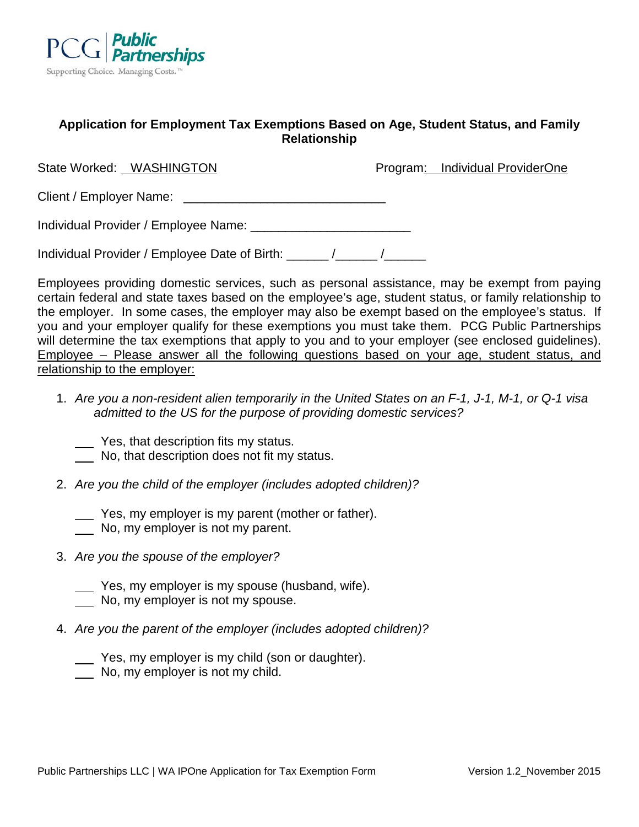

# **Application for Employment Tax Exemptions Based on Age, Student Status, and Family Relationship**

| State Worked: WASHINGTON             | Program: Individual ProviderOne |
|--------------------------------------|---------------------------------|
| Client / Employer Name:              |                                 |
| Individual Provider / Employee Name: |                                 |

Individual Provider / Employee Date of Birth: \_\_\_\_\_\_ /\_\_\_\_\_\_ /\_\_\_\_\_\_

Employees providing domestic services, such as personal assistance, may be exempt from paying certain federal and state taxes based on the employee's age, student status, or family relationship to the employer. In some cases, the employer may also be exempt based on the employee's status. If you and your employer qualify for these exemptions you must take them. PCG Public Partnerships will determine the tax exemptions that apply to you and to your employer (see enclosed quidelines). Employee – Please answer all the following questions based on your age, student status, and relationship to the employer:

- 1. *Are you a non-resident alien temporarily in the United States on an F-1, J-1, M-1, or Q-1 visa admitted to the US for the purpose of providing domestic services?*
	- Yes, that description fits my status.
	- No, that description does not fit my status.
- 2. *Are you the child of the employer (includes adopted children)?*
	- Yes, my employer is my parent (mother or father).
	- No, my employer is not my parent.
- 3. *Are you the spouse of the employer?*
	- Yes, my employer is my spouse (husband, wife).
	- No, my employer is not my spouse.
- 4. *Are you the parent of the employer (includes adopted children)?*
	- Yes, my employer is my child (son or daughter).
	- No, my employer is not my child.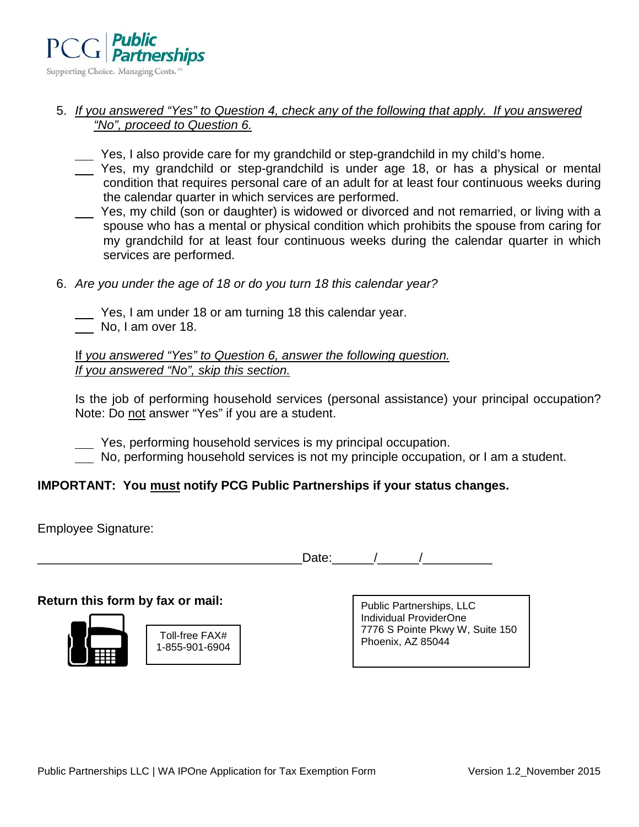

# 5. *If you answered "Yes" to Question 4, check any of the following that apply. If you answered "No", proceed to Question 6.*

- Yes, I also provide care for my grandchild or step-grandchild in my child's home.
- Yes, my grandchild or step-grandchild is under age 18, or has a physical or mental condition that requires personal care of an adult for at least four continuous weeks during the calendar quarter in which services are performed.
- Yes, my child (son or daughter) is widowed or divorced and not remarried, or living with a spouse who has a mental or physical condition which prohibits the spouse from caring for my grandchild for at least four continuous weeks during the calendar quarter in which services are performed.
- 6. *Are you under the age of 18 or do you turn 18 this calendar year?*
	- Yes, I am under 18 or am turning 18 this calendar year. No, I am over 18.

If *you answered "Yes" to Question 6, answer the following question. If you answered "No", skip this section.*

Is the job of performing household services (personal assistance) your principal occupation? Note: Do not answer "Yes" if you are a student.

Yes, performing household services is my principal occupation.

No, performing household services is not my principle occupation, or I am a student.

# **IMPORTANT: You must notify PCG Public Partnerships if your status changes.**

Employee Signature:

Date:  $\sqrt{2\pi}$ 

# **Return this form by fax or mail:**



| Toll-free FAX#<br>1-855-901-6904 |
|----------------------------------|

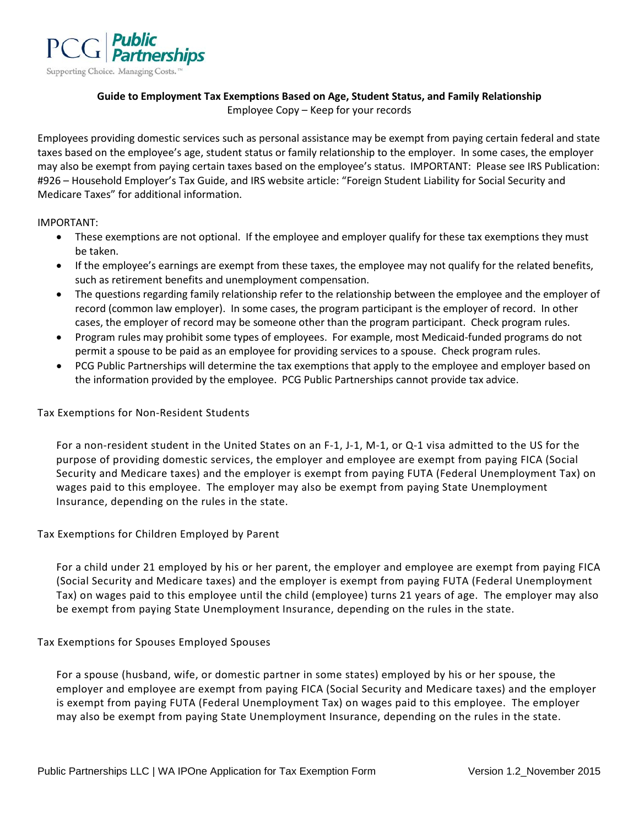

## **Guide to Employment Tax Exemptions Based on Age, Student Status, and Family Relationship** Employee Copy – Keep for your records

Employees providing domestic services such as personal assistance may be exempt from paying certain federal and state taxes based on the employee's age, student status or family relationship to the employer. In some cases, the employer may also be exempt from paying certain taxes based on the employee's status. IMPORTANT: Please see IRS Publication: #926 – Household Employer's Tax Guide, and IRS website article: "Foreign Student Liability for Social Security and Medicare Taxes" for additional information.

#### IMPORTANT:

- These exemptions are not optional. If the employee and employer qualify for these tax exemptions they must be taken.
- If the employee's earnings are exempt from these taxes, the employee may not qualify for the related benefits, such as retirement benefits and unemployment compensation.
- The questions regarding family relationship refer to the relationship between the employee and the employer of record (common law employer). In some cases, the program participant is the employer of record. In other cases, the employer of record may be someone other than the program participant. Check program rules.
- Program rules may prohibit some types of employees. For example, most Medicaid-funded programs do not permit a spouse to be paid as an employee for providing services to a spouse. Check program rules.
- PCG Public Partnerships will determine the tax exemptions that apply to the employee and employer based on the information provided by the employee. PCG Public Partnerships cannot provide tax advice.

## Tax Exemptions for Non-Resident Students

For a non-resident student in the United States on an F-1, J-1, M-1, or Q-1 visa admitted to the US for the purpose of providing domestic services, the employer and employee are exempt from paying FICA (Social Security and Medicare taxes) and the employer is exempt from paying FUTA (Federal Unemployment Tax) on wages paid to this employee. The employer may also be exempt from paying State Unemployment Insurance, depending on the rules in the state.

## Tax Exemptions for Children Employed by Parent

For a child under 21 employed by his or her parent, the employer and employee are exempt from paying FICA (Social Security and Medicare taxes) and the employer is exempt from paying FUTA (Federal Unemployment Tax) on wages paid to this employee until the child (employee) turns 21 years of age. The employer may also be exempt from paying State Unemployment Insurance, depending on the rules in the state.

## Tax Exemptions for Spouses Employed Spouses

For a spouse (husband, wife, or domestic partner in some states) employed by his or her spouse, the employer and employee are exempt from paying FICA (Social Security and Medicare taxes) and the employer is exempt from paying FUTA (Federal Unemployment Tax) on wages paid to this employee. The employer may also be exempt from paying State Unemployment Insurance, depending on the rules in the state.